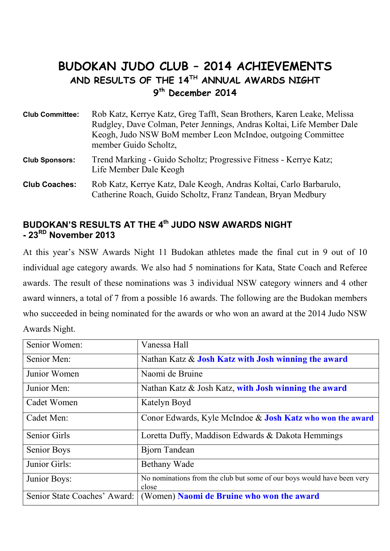# **BUDOKAN JUDO CLUB – 2014 ACHIEVEMENTS AND RESULTS OF THE 14TH ANNUAL AWARDS NIGHT 9 th December 2014**

**Club Committee:** Rob Katz, Kerrye Katz, Greg Tafft, Sean Brothers, Karen Leake, Melissa Rudgley, Dave Colman, Peter Jennings, Andras Koltai, Life Member Dale Keogh, Judo NSW BoM member Leon McIndoe, outgoing Committee member Guido Scholtz,

**Club Sponsors:** Trend Marking - Guido Scholtz; Progressive Fitness - Kerrye Katz; Life Member Dale Keogh

# **BUDOKAN'S RESULTS AT THE 4th JUDO NSW AWARDS NIGHT - 23RD November 2013**

At this year's NSW Awards Night 11 Budokan athletes made the final cut in 9 out of 10 individual age category awards. We also had 5 nominations for Kata, State Coach and Referee awards. The result of these nominations was 3 individual NSW category winners and 4 other award winners, a total of 7 from a possible 16 awards. The following are the Budokan members who succeeded in being nominated for the awards or who won an award at the 2014 Judo NSW Awards Night.

| Senior Women:                | Vanessa Hall                                                                    |
|------------------------------|---------------------------------------------------------------------------------|
| Senior Men:                  | Nathan Katz & Josh Katz with Josh winning the award                             |
| Junior Women                 | Naomi de Bruine                                                                 |
| Junior Men:                  | Nathan Katz & Josh Katz, with Josh winning the award                            |
| Cadet Women                  | Katelyn Boyd                                                                    |
| Cadet Men:                   | Conor Edwards, Kyle McIndoe & Josh Katz who won the award                       |
| <b>Senior Girls</b>          | Loretta Duffy, Maddison Edwards & Dakota Hemmings                               |
| Senior Boys                  | <b>Bjorn Tandean</b>                                                            |
| Junior Girls:                | <b>Bethany Wade</b>                                                             |
| Junior Boys:                 | No nominations from the club but some of our boys would have been very<br>close |
| Senior State Coaches' Award: | (Women) Naomi de Bruine who won the award                                       |

**Club Coaches:** Rob Katz, Kerrye Katz, Dale Keogh, Andras Koltai, Carlo Barbarulo, Catherine Roach, Guido Scholtz, Franz Tandean, Bryan Medbury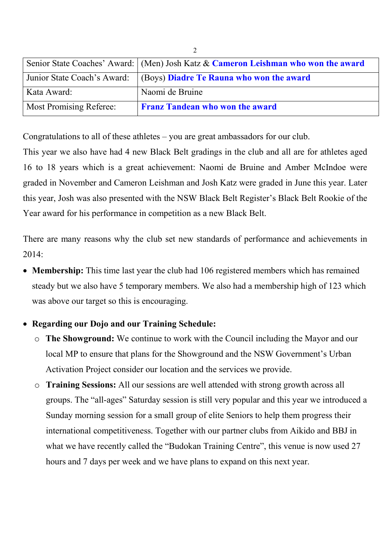|                                | Senior State Coaches' Award: (Men) Josh Katz & Cameron Leishman who won the award |
|--------------------------------|-----------------------------------------------------------------------------------|
|                                | Junior State Coach's Award: (Boys) Diadre Te Rauna who won the award              |
| Kata Award:                    | Naomi de Bruine                                                                   |
| <b>Most Promising Referee:</b> | <b>Franz Tandean who won the award</b>                                            |

Congratulations to all of these athletes – you are great ambassadors for our club.

This year we also have had 4 new Black Belt gradings in the club and all are for athletes aged 16 to 18 years which is a great achievement: Naomi de Bruine and Amber McIndoe were graded in November and Cameron Leishman and Josh Katz were graded in June this year. Later this year, Josh was also presented with the NSW Black Belt Register's Black Belt Rookie of the Year award for his performance in competition as a new Black Belt.

There are many reasons why the club set new standards of performance and achievements in  $2014$ 

• **Membership:** This time last year the club had 106 registered members which has remained steady but we also have 5 temporary members. We also had a membership high of 123 which was above our target so this is encouraging.

### • **Regarding our Dojo and our Training Schedule:**

- o **The Showground:** We continue to work with the Council including the Mayor and our local MP to ensure that plans for the Showground and the NSW Government's Urban Activation Project consider our location and the services we provide.
- o **Training Sessions:** All our sessions are well attended with strong growth across all groups. The "all-ages" Saturday session is still very popular and this year we introduced a Sunday morning session for a small group of elite Seniors to help them progress their international competitiveness. Together with our partner clubs from Aikido and BBJ in what we have recently called the "Budokan Training Centre", this venue is now used 27 hours and 7 days per week and we have plans to expand on this next year.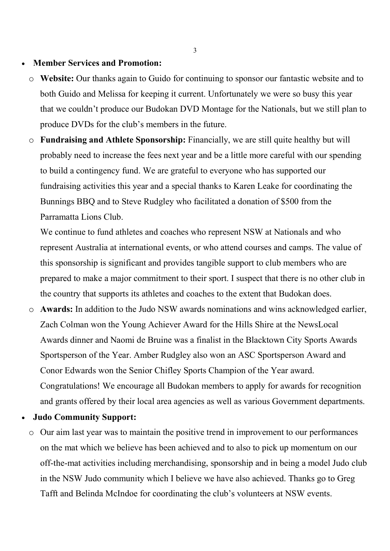#### • **Member Services and Promotion:**

- o **Website:** Our thanks again to Guido for continuing to sponsor our fantastic website and to both Guido and Melissa for keeping it current. Unfortunately we were so busy this year that we couldn't produce our Budokan DVD Montage for the Nationals, but we still plan to produce DVDs for the club's members in the future.
- o **Fundraising and Athlete Sponsorship:** Financially, we are still quite healthy but will probably need to increase the fees next year and be a little more careful with our spending to build a contingency fund. We are grateful to everyone who has supported our fundraising activities this year and a special thanks to Karen Leake for coordinating the Bunnings BBQ and to Steve Rudgley who facilitated a donation of \$500 from the Parramatta Lions Club.

We continue to fund athletes and coaches who represent NSW at Nationals and who represent Australia at international events, or who attend courses and camps. The value of this sponsorship is significant and provides tangible support to club members who are prepared to make a major commitment to their sport. I suspect that there is no other club in the country that supports its athletes and coaches to the extent that Budokan does.

- o **Awards:** In addition to the Judo NSW awards nominations and wins acknowledged earlier, Zach Colman won the Young Achiever Award for the Hills Shire at the NewsLocal Awards dinner and Naomi de Bruine was a finalist in the Blacktown City Sports Awards Sportsperson of the Year. Amber Rudgley also won an ASC Sportsperson Award and Conor Edwards won the Senior Chifley Sports Champion of the Year award. Congratulations! We encourage all Budokan members to apply for awards for recognition and grants offered by their local area agencies as well as various Government departments.
- **Judo Community Support:**
	- o Our aim last year was to maintain the positive trend in improvement to our performances on the mat which we believe has been achieved and to also to pick up momentum on our off-the-mat activities including merchandising, sponsorship and in being a model Judo club in the NSW Judo community which I believe we have also achieved. Thanks go to Greg Tafft and Belinda McIndoe for coordinating the club's volunteers at NSW events.

3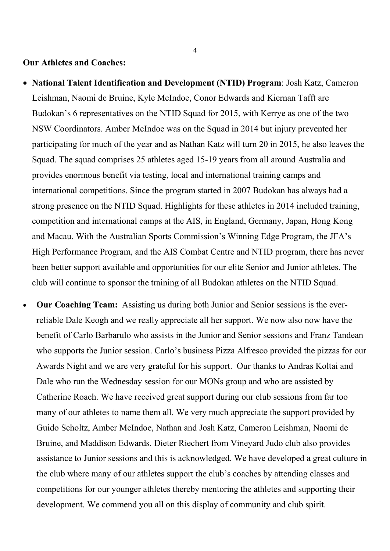#### **Our Athletes and Coaches:**

- **National Talent Identification and Development (NTID) Program**: Josh Katz, Cameron Leishman, Naomi de Bruine, Kyle McIndoe, Conor Edwards and Kiernan Tafft are Budokan's 6 representatives on the NTID Squad for 2015, with Kerrye as one of the two NSW Coordinators. Amber McIndoe was on the Squad in 2014 but injury prevented her participating for much of the year and as Nathan Katz will turn 20 in 2015, he also leaves the Squad. The squad comprises 25 athletes aged 15-19 years from all around Australia and provides enormous benefit via testing, local and international training camps and international competitions. Since the program started in 2007 Budokan has always had a strong presence on the NTID Squad. Highlights for these athletes in 2014 included training, competition and international camps at the AIS, in England, Germany, Japan, Hong Kong and Macau. With the Australian Sports Commission's Winning Edge Program, the JFA's High Performance Program, and the AIS Combat Centre and NTID program, there has never been better support available and opportunities for our elite Senior and Junior athletes. The club will continue to sponsor the training of all Budokan athletes on the NTID Squad.
- **Our Coaching Team:** Assisting us during both Junior and Senior sessions is the everreliable Dale Keogh and we really appreciate all her support. We now also now have the benefit of Carlo Barbarulo who assists in the Junior and Senior sessions and Franz Tandean who supports the Junior session. Carlo's business Pizza Alfresco provided the pizzas for our Awards Night and we are very grateful for his support. Our thanks to Andras Koltai and Dale who run the Wednesday session for our MONs group and who are assisted by Catherine Roach. We have received great support during our club sessions from far too many of our athletes to name them all. We very much appreciate the support provided by Guido Scholtz, Amber McIndoe, Nathan and Josh Katz, Cameron Leishman, Naomi de Bruine, and Maddison Edwards. Dieter Riechert from Vineyard Judo club also provides assistance to Junior sessions and this is acknowledged. We have developed a great culture in the club where many of our athletes support the club's coaches by attending classes and competitions for our younger athletes thereby mentoring the athletes and supporting their development. We commend you all on this display of community and club spirit.

4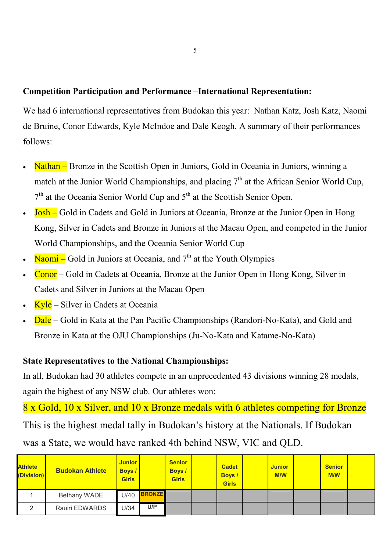### **Competition Participation and Performance –International Representation:**

We had 6 international representatives from Budokan this year: Nathan Katz, Josh Katz, Naomi de Bruine, Conor Edwards, Kyle McIndoe and Dale Keogh. A summary of their performances follows:

- Nathan Bronze in the Scottish Open in Juniors, Gold in Oceania in Juniors, winning a match at the Junior World Championships, and placing  $7<sup>th</sup>$  at the African Senior World Cup,  $7<sup>th</sup>$  at the Oceania Senior World Cup and  $5<sup>th</sup>$  at the Scottish Senior Open.
- Josh Gold in Cadets and Gold in Juniors at Oceania, Bronze at the Junior Open in Hong Kong, Silver in Cadets and Bronze in Juniors at the Macau Open, and competed in the Junior World Championships, and the Oceania Senior World Cup
- Naomi Gold in Juniors at Oceania, and  $7<sup>th</sup>$  at the Youth Olympics
- Conor Gold in Cadets at Oceania, Bronze at the Junior Open in Hong Kong, Silver in Cadets and Silver in Juniors at the Macau Open
- Kyle Silver in Cadets at Oceania
- Dale Gold in Kata at the Pan Pacific Championships (Randori-No-Kata), and Gold and Bronze in Kata at the OJU Championships (Ju-No-Kata and Katame-No-Kata)

### **State Representatives to the National Championships:**

In all, Budokan had 30 athletes compete in an unprecedented 43 divisions winning 28 medals, again the highest of any NSW club. Our athletes won:

8 x Gold, 10 x Silver, and 10 x Bronze medals with 6 athletes competing for Bronze This is the highest medal tally in Budokan's history at the Nationals. If Budokan was a State, we would have ranked 4th behind NSW, VIC and QLD.

| <b>Athlete</b><br>(Division) | <b>Budokan Athlete</b> | <b>Junior</b><br><b>Boys</b><br><b>Girls</b> |               | <b>Senior</b><br><b>Boys</b> /<br><b>Girls</b> | <b>Cadet</b><br><b>Boys</b> /<br><b>Girls</b> | <b>Junior</b><br><b>M/W</b> | <b>Senior</b><br><b>M/W</b> |  |
|------------------------------|------------------------|----------------------------------------------|---------------|------------------------------------------------|-----------------------------------------------|-----------------------------|-----------------------------|--|
|                              | Bethany WADE           | U/40                                         | <b>BRONZE</b> |                                                |                                               |                             |                             |  |
| ∽                            | Rauiri EDWARDS         | U/34                                         | U/P           |                                                |                                               |                             |                             |  |

5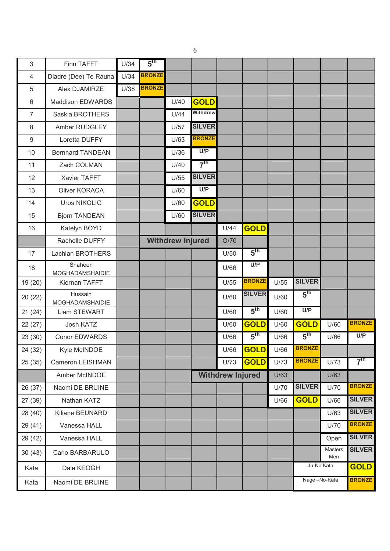| 3                | Finn TAFFT                 | U/34 | 5 <sup>th</sup> |                         |                 |                         |                 |      |                 |                       |                 |
|------------------|----------------------------|------|-----------------|-------------------------|-----------------|-------------------------|-----------------|------|-----------------|-----------------------|-----------------|
| 4                | Diadre (Dee) Te Rauna      | U/34 | <b>BRONZE</b>   |                         |                 |                         |                 |      |                 |                       |                 |
| 5                | Alex DJAMIRZE              | U/38 | <b>BRONZE</b>   |                         |                 |                         |                 |      |                 |                       |                 |
| 6                | <b>Maddison EDWARDS</b>    |      |                 | U/40                    | <b>GOLD</b>     |                         |                 |      |                 |                       |                 |
| $\overline{7}$   | Saskia BROTHERS            |      |                 | U/44                    | <b>Withdrew</b> |                         |                 |      |                 |                       |                 |
| 8                | Amber RUDGLEY              |      |                 | U/57                    | <b>SILVER</b>   |                         |                 |      |                 |                       |                 |
| $\boldsymbol{9}$ | Loretta DUFFY              |      |                 | U/63                    | <b>BRONZE</b>   |                         |                 |      |                 |                       |                 |
| 10               | <b>Bernhard TANDEAN</b>    |      |                 | U/36                    | U/P             |                         |                 |      |                 |                       |                 |
| 11               | Zach COLMAN                |      |                 | U/40                    | 7 <sup>th</sup> |                         |                 |      |                 |                       |                 |
| 12               | Xavier TAFFT               |      |                 | U/55                    | <b>SILVER</b>   |                         |                 |      |                 |                       |                 |
| 13               | <b>Oliver KORACA</b>       |      |                 | U/60                    | U/P             |                         |                 |      |                 |                       |                 |
| 14               | <b>Uros NIKOLIC</b>        |      |                 | U/60                    | <b>GOLD</b>     |                         |                 |      |                 |                       |                 |
| 15               | <b>Bjorn TANDEAN</b>       |      |                 | U/60                    | <b>SILVER</b>   |                         |                 |      |                 |                       |                 |
| 16               | Katelyn BOYD               |      |                 |                         |                 | U/44                    | <b>GOLD</b>     |      |                 |                       |                 |
|                  | Rachelle DUFFY             |      |                 | <b>Withdrew Injured</b> |                 | O/70                    |                 |      |                 |                       |                 |
| 17               | Lachlan BROTHERS           |      |                 |                         |                 | U/50                    | $5^{\text{th}}$ |      |                 |                       |                 |
| 18               | Shaheen<br>MOGHADAMSHAIDIE |      |                 |                         |                 | U/66                    | U/P             |      |                 |                       |                 |
| 19 (20)          | Kiernan TAFFT              |      |                 |                         |                 | U/55                    | <b>BRONZE</b>   | U/55 | <b>SILVER</b>   |                       |                 |
| 20(22)           | Hussain<br>MOGHADAMSHAIDIE |      |                 |                         |                 | U/60                    | <b>SILVER</b>   | U/60 | 5 <sup>th</sup> |                       |                 |
| 21(24)           | Liam STEWART               |      |                 |                         |                 | U/60                    | $5^{\text{th}}$ | U/60 | U/P             |                       |                 |
| 22(27)           | Josh KATZ                  |      |                 |                         |                 | U/60                    | <b>GOLD</b>     | U/60 | <b>GOLD</b>     | U/60                  | <b>BRONZE</b>   |
| 23(30)           | <b>Conor EDWARDS</b>       |      |                 |                         |                 | U/66                    | 5 <sup>th</sup> | U/66 | 5 <sup>th</sup> | U/66                  | U/P             |
| 24 (32)          | Kyle McINDOE               |      |                 |                         |                 | U/66                    | <b>GOLD</b>     | U/66 | <b>BRONZE</b>   |                       |                 |
| 25(35)           | Cameron LEISHMAN           |      |                 |                         |                 | U/73                    | <b>GOLD</b>     | U/73 | <b>BRONZE</b>   | U/73                  | 7 <sup>th</sup> |
|                  | Amber McINDOE              |      |                 |                         |                 | <b>Withdrew Injured</b> |                 | U/63 |                 | U/63                  |                 |
| 26 (37)          | Naomi DE BRUINE            |      |                 |                         |                 |                         |                 | U/70 | <b>SILVER</b>   | U/70                  | <b>BRONZE</b>   |
| 27 (39)          | Nathan KATZ                |      |                 |                         |                 |                         |                 | U/66 | <b>GOLD</b>     | U/66                  | <b>SILVER</b>   |
| 28 (40)          | Kiliane BEUNARD            |      |                 |                         |                 |                         |                 |      |                 | U/63                  | <b>SILVER</b>   |
| 29(41)           | Vanessa HALL               |      |                 |                         |                 |                         |                 |      |                 | U/70                  | <b>BRONZE</b>   |
| 29 (42)          | Vanessa HALL               |      |                 |                         |                 |                         |                 |      |                 | Open                  | <b>SILVER</b>   |
| 30(43)           | Carlo BARBARULO            |      |                 |                         |                 |                         |                 |      |                 | <b>Masters</b><br>Men | <b>SILVER</b>   |
| Kata             | Dale KEOGH                 |      |                 |                         |                 |                         |                 |      |                 | Ju-No Kata            | <b>GOLD</b>     |
| Kata             | Naomi DE BRUINE            |      |                 |                         |                 |                         |                 |      |                 | Nage-No-Kata          | <b>BRONZE</b>   |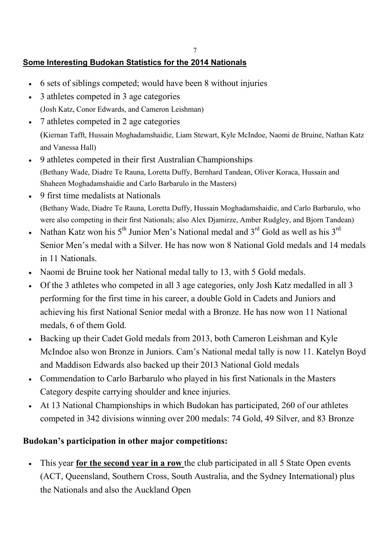# **Some Interesting Budokan Statistics for the 2014 Nationals**

- 6 sets of siblings competed; would have been 8 without injuries
- 3 athletes competed in 3 age categories (Josh Katz, Conor Edwards, and Cameron Leishman)
- 7 athletes competed in 2 age categories (Kiernan Tafft, Hussain Moghadamshaidie, Liam Stewart, Kyle McIndoe, Naomi de Bruine, Nathan Katz
- and Vanessa Hall) • 9 athletes competed in their first Australian Championships (Bethany Wade, Diadre Te Rauna, Loretta Duffy, Bernhard Tandean, Oliver Koraca, Hussain and Shaheen Moghadamshaidie and Carlo Barbarulo in the Masters)
- 9 first time medalists at Nationals (Bethany Wade, Diadre Te Rauna, Loretta Duffy, Hussain Moghadamshaidie, and Carlo Barbarulo, who were also competing in their first Nationals; also Alex Djamirze, Amber Rudgley, and Bjorn Tandean)
- Nathan Katz won his  $5<sup>th</sup>$  Junior Men's National medal and  $3<sup>rd</sup>$  Gold as well as his  $3<sup>rd</sup>$ Senior Men's medal with a Silver. He has now won 8 National Gold medals and 14 medals in 11 Nationals.
- Naomi de Bruine took her National medal tally to 13, with 5 Gold medals.
- Of the 3 athletes who competed in all 3 age categories, only Josh Katz medalled in all 3 performing for the first time in his career, a double Gold in Cadets and Juniors and achieving his first National Senior medal with a Bronze. He has now won 11 National medals, 6 of them Gold.
- Backing up their Cadet Gold medals from 2013, both Cameron Leishman and Kyle McIndoe also won Bronze in Juniors. Cam's National medal tally is now 11. Katelyn Boyd and Maddison Edwards also backed up their 2013 National Gold medals
- Commendation to Carlo Barbarulo who played in his first Nationals in the Masters Category despite carrying shoulder and knee injuries.
- At 13 National Championships in which Budokan has participated, 260 of our athletes competed in 342 divisions winning over 200 medals: 74 Gold, 49 Silver, and 83 Bronze

## **Budokan's participation in other major competitions:**

• This year **for the second year in a row** the club participated in all 5 State Open events (ACT, Queensland, Southern Cross, South Australia, and the Sydney International) plus the Nationals and also the Auckland Open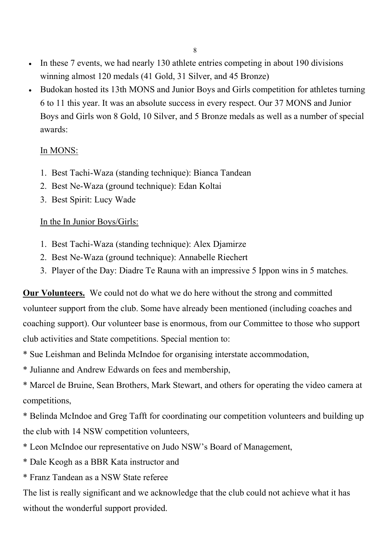- In these 7 events, we had nearly 130 athlete entries competing in about 190 divisions winning almost 120 medals (41 Gold, 31 Silver, and 45 Bronze)
- Budokan hosted its 13th MONS and Junior Boys and Girls competition for athletes turning 6 to 11 this year. It was an absolute success in every respect. Our 37 MONS and Junior Boys and Girls won 8 Gold, 10 Silver, and 5 Bronze medals as well as a number of special awards:

# In MONS:

- 1. Best Tachi-Waza (standing technique): Bianca Tandean
- 2. Best Ne-Waza (ground technique): Edan Koltai
- 3. Best Spirit: Lucy Wade

# In the In Junior Boys/Girls:

- 1. Best Tachi-Waza (standing technique): Alex Djamirze
- 2. Best Ne-Waza (ground technique): Annabelle Riechert
- 3. Player of the Day: Diadre Te Rauna with an impressive 5 Ippon wins in 5 matches.

**Our Volunteers.** We could not do what we do here without the strong and committed volunteer support from the club. Some have already been mentioned (including coaches and coaching support). Our volunteer base is enormous, from our Committee to those who support club activities and State competitions. Special mention to:

- \* Sue Leishman and Belinda McIndoe for organising interstate accommodation,
- \* Julianne and Andrew Edwards on fees and membership,

\* Marcel de Bruine, Sean Brothers, Mark Stewart, and others for operating the video camera at competitions,

\* Belinda McIndoe and Greg Tafft for coordinating our competition volunteers and building up the club with 14 NSW competition volunteers,

- \* Leon McIndoe our representative on Judo NSW's Board of Management,
- \* Dale Keogh as a BBR Kata instructor and
- \* Franz Tandean as a NSW State referee

The list is really significant and we acknowledge that the club could not achieve what it has without the wonderful support provided.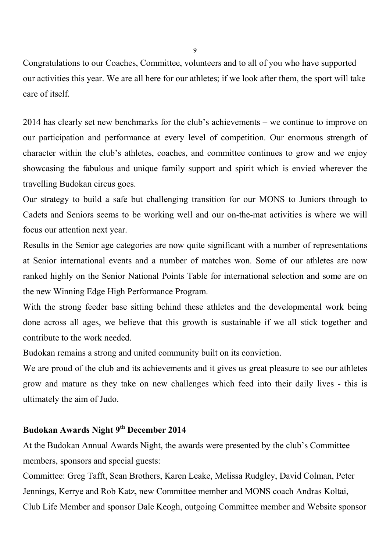Congratulations to our Coaches, Committee, volunteers and to all of you who have supported our activities this year. We are all here for our athletes; if we look after them, the sport will take care of itself.

2014 has clearly set new benchmarks for the club's achievements – we continue to improve on our participation and performance at every level of competition. Our enormous strength of character within the club's athletes, coaches, and committee continues to grow and we enjoy showcasing the fabulous and unique family support and spirit which is envied wherever the travelling Budokan circus goes.

Our strategy to build a safe but challenging transition for our MONS to Juniors through to Cadets and Seniors seems to be working well and our on-the-mat activities is where we will focus our attention next year.

Results in the Senior age categories are now quite significant with a number of representations at Senior international events and a number of matches won. Some of our athletes are now ranked highly on the Senior National Points Table for international selection and some are on the new Winning Edge High Performance Program.

With the strong feeder base sitting behind these athletes and the developmental work being done across all ages, we believe that this growth is sustainable if we all stick together and contribute to the work needed.

Budokan remains a strong and united community built on its conviction.

We are proud of the club and its achievements and it gives us great pleasure to see our athletes grow and mature as they take on new challenges which feed into their daily lives - this is ultimately the aim of Judo.

# **Budokan Awards Night 9th December 2014**

At the Budokan Annual Awards Night, the awards were presented by the club's Committee members, sponsors and special guests:

Committee: Greg Tafft, Sean Brothers, Karen Leake, Melissa Rudgley, David Colman, Peter Jennings, Kerrye and Rob Katz, new Committee member and MONS coach Andras Koltai, Club Life Member and sponsor Dale Keogh, outgoing Committee member and Website sponsor

 $\overline{Q}$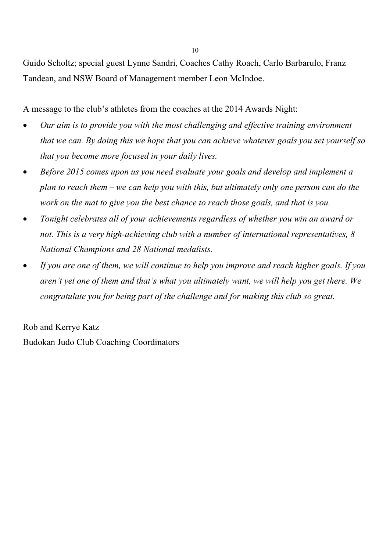Guido Scholtz; special guest Lynne Sandri, Coaches Cathy Roach, Carlo Barbarulo, Franz Tandean, and NSW Board of Management member Leon McIndoe.

A message to the club's athletes from the coaches at the 2014 Awards Night:

- *Our aim is to provide you with the most challenging and effective training environment that we can. By doing this we hope that you can achieve whatever goals you set yourself so that you become more focused in your daily lives.*
- *Before 2015 comes upon us you need evaluate your goals and develop and implement a plan to reach them – we can help you with this, but ultimately only one person can do the work on the mat to give you the best chance to reach those goals, and that is you.*
- *Tonight celebrates all of your achievements regardless of whether you win an award or not. This is a very high-achieving club with a number of international representatives, 8 National Champions and 28 National medalists.*
- *If you are one of them, we will continue to help you improve and reach higher goals. If you aren't yet one of them and that's what you ultimately want, we will help you get there. We congratulate you for being part of the challenge and for making this club so great.*

Rob and Kerrye Katz Budokan Judo Club Coaching Coordinators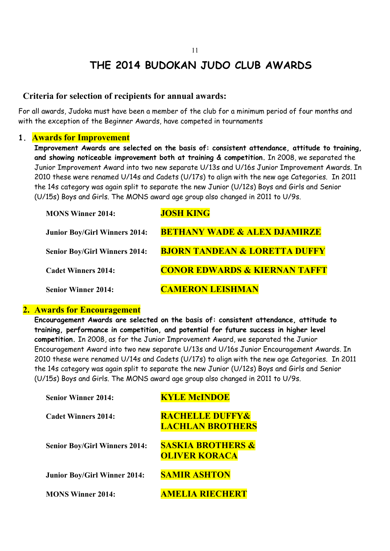# **THE 2014 BUDOKAN JUDO CLUB AWARDS**

#### **Criteria for selection of recipients for annual awards:**

For all awards, Judoka must have been a member of the club for a minimum period of four months and with the exception of the Beginner Awards, have competed in tournaments

#### **1. Awards for Improvement**

**Improvement Awards are selected on the basis of: consistent attendance, attitude to training, and showing noticeable improvement both at training & competition.** In 2008, we separated the Junior Improvement Award into two new separate U/13s and U/16s Junior Improvement Awards. In 2010 these were renamed U/14s and Cadets (U/17s) to align with the new age Categories. In 2011 the 14s category was again split to separate the new Junior (U/12s) Boys and Girls and Senior (U/15s) Boys and Girls. The MONS award age group also changed in 2011 to U/9s.

| <b>MONS Winner 2014:</b>             | <b>JOSH KING</b>                         |
|--------------------------------------|------------------------------------------|
| <b>Junior Boy/Girl Winners 2014:</b> | <b>BETHANY WADE &amp; ALEX DJAMIRZE</b>  |
| <b>Senior Boy/Girl Winners 2014:</b> | <b>BJORN TANDEAN &amp; LORETTA DUFFY</b> |
| <b>Cadet Winners 2014:</b>           | <b>CONOR EDWARDS &amp; KIERNAN TAFFT</b> |
| <b>Senior Winner 2014:</b>           | <b>CAMERON LEISHMAN</b>                  |

#### **2. Awards for Encouragement**

**Encouragement Awards are selected on the basis of: consistent attendance, attitude to training, performance in competition, and potential for future success in higher level competition.** In 2008, as for the Junior Improvement Award, we separated the Junior Encouragement Award into two new separate U/13s and U/16s Junior Encouragement Awards. In 2010 these were renamed U/14s and Cadets (U/17s) to align with the new age Categories. In 2011 the 14s category was again split to separate the new Junior (U/12s) Boys and Girls and Senior (U/15s) Boys and Girls. The MONS award age group also changed in 2011 to U/9s.

| <b>Senior Winner 2014:</b>           | <b>KYLE McINDOE</b>                                   |
|--------------------------------------|-------------------------------------------------------|
| Cadet Winners 2014:                  | <b>RACHELLE DUFFY&amp;</b><br><b>LACHLAN BROTHERS</b> |
| <b>Senior Boy/Girl Winners 2014:</b> | <b>SASKIA BROTHERS &amp;</b><br><b>OLIVER KORACA</b>  |
| <b>Junior Boy/Girl Winner 2014:</b>  | <b>SAMIR ASHTON</b>                                   |
| <b>MONS Winner 2014:</b>             | <b>MELIA RIECHERT</b>                                 |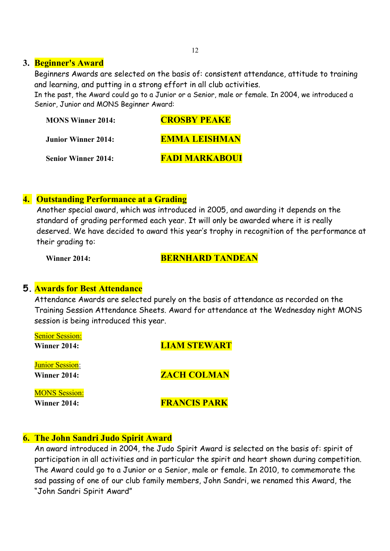#### **3. Beginner's Award**

Beginners Awards are selected on the basis of: consistent attendance, attitude to training and learning, and putting in a strong effort in all club activities.

In the past, the Award could go to a Junior or a Senior, male or female. In 2004, we introduced a Senior, Junior and MONS Beginner Award:

| <b>MONS Winner 2014:</b>   | <b>CROSBY PEAKE</b>   |
|----------------------------|-----------------------|
| <b>Junior Winner 2014:</b> | <b>EMMA LEISHMAN</b>  |
| <b>Senior Winner 2014:</b> | <b>FADI MARKABOUI</b> |

#### **4. Outstanding Performance at a Grading**

Another special award, which was introduced in 2005, and awarding it depends on the standard of grading performed each year. It will only be awarded where it is really deserved. We have decided to award this year's trophy in recognition of the performance at their aradina to:

#### **Winner 2014: BERNHARD TANDEAN**

### **5. Awards for Best Attendance**

Attendance Awards are selected purely on the basis of attendance as recorded on the Training Session Attendance Sheets. Award for attendance at the Wednesday night MONS session is being introduced this year.

| <b>Senior Session:</b> |                     |
|------------------------|---------------------|
| <b>Winner 2014:</b>    | <b>LIAM STEWART</b> |
|                        |                     |
| <b>Junior Session:</b> |                     |
| <b>Winner 2014:</b>    | <b>ZACH COLMAN</b>  |
| <b>MONS Session:</b>   |                     |
| Winner 2014:           | <b>FRANCIS PARK</b> |

### **6. The John Sandri Judo Spirit Award**

An award introduced in 2004, the Judo Spirit Award is selected on the basis of: spirit of participation in all activities and in particular the spirit and heart shown during competition. The Award could go to a Junior or a Senior, male or female. In 2010, to commemorate the sad passing of one of our club family members, John Sandri, we renamed this Award, the "John Sandri Spirit Award"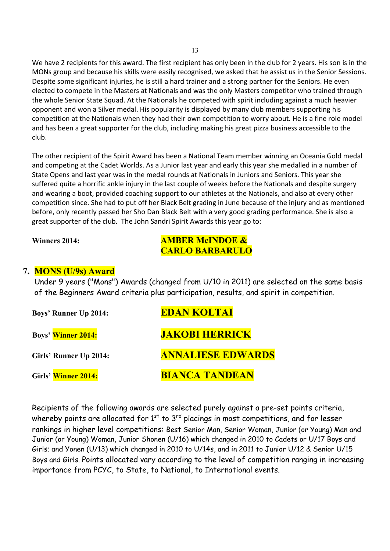We have 2 recipients for this award. The first recipient has only been in the club for 2 years. His son is in the MONs group and because his skills were easily recognised, we asked that he assist us in the Senior Sessions. Despite some significant injuries, he is still a hard trainer and a strong partner for the Seniors. He even elected to compete in the Masters at Nationals and was the only Masters competitor who trained through the whole Senior State Squad. At the Nationals he competed with spirit including against a much heavier opponent and won a Silver medal. His popularity is displayed by many club members supporting his competition at the Nationals when they had their own competition to worry about. He is a fine role model and has been a great supporter for the club, including making his great pizza business accessible to the club.

The other recipient of the Spirit Award has been a National Team member winning an Oceania Gold medal and competing at the Cadet Worlds. As a Junior last year and early this year she medalled in a number of State Opens and last year was in the medal rounds at Nationals in Juniors and Seniors. This year she suffered quite a horrific ankle injury in the last couple of weeks before the Nationals and despite surgery and wearing a boot, provided coaching support to our athletes at the Nationals, and also at every other competition since. She had to put off her Black Belt grading in June because of the injury and as mentioned before, only recently passed her Sho Dan Black Belt with a very good grading performance. She is also a great supporter of the club. The John Sandri Spirit Awards this year go to:

### **Winners 2014: AMBER McINDOE & CARLO BARBARULO**

### **7. MONS (U/9s) Award**

Under 9 years ("Mons") Awards (changed from U/10 in 2011) are selected on the same basis of the Beginners Award criteria plus participation, results, and spirit in competition.

| <b>Boys' Runner Up 2014:</b> | <b>EDAN KOLTAI</b>       |
|------------------------------|--------------------------|
| <b>Boys' Winner 2014:</b>    | <b>JAKOBI HERRICK</b>    |
| Girls' Runner Up 2014:       | <b>ANNALIESE EDWARDS</b> |
| Girls' Winner 2014:          | <b>BIANCA TANDEAN</b>    |

 Recipients of the following awards are selected purely against a pre-set points criteria, whereby points are allocated for  $1<sup>st</sup>$  to  $3<sup>rd</sup>$  placings in most competitions, and for lesser rankings in higher level competitions: Best Senior Man, Senior Woman, Junior (or Young) Man and Junior (or Young) Woman, Junior Shonen (U/16) which changed in 2010 to Cadets or U/17 Boys and Girls; and Yonen (U/13) which changed in 2010 to U/14s, and in 2011 to Junior U/12 & Senior U/15 Boys and Girls. Points allocated vary according to the level of competition ranging in increasing importance from PCYC, to State, to National, to International events.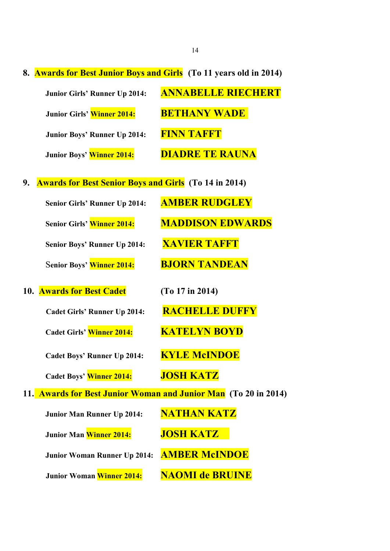**8. Awards for Best Junior Boys and Girls (To 11 years old in 2014)** 

| <b>Junior Girls' Runner Up 2014:</b> | <b>ANNABELLE RIECHERT</b> |
|--------------------------------------|---------------------------|
| Junior Girls' Winner 2014:           | <b>BETHANY WADE</b>       |
| <b>Junior Boys' Runner Up 2014:</b>  | FINN TAFFT                |
| Junior Boys' Winner 2014:            | <b>DIADRE TE RAUNA</b>    |

**9. Awards for Best Senior Boys and Girls (To 14 in 2014)** 

| Senior Girls' Runner Up 2014:       | <b>AMBER RUDGLEY</b>                                            |
|-------------------------------------|-----------------------------------------------------------------|
| Senior Girls' Winner 2014:          | <b>MADDISON EDWARDS</b>                                         |
| Senior Boys' Runner Up 2014:        | <b>XAVIER TAFFT</b>                                             |
| Senior Boys' Winner 2014:           | <b>BJORN TANDEAN</b>                                            |
| 10. Awards for Best Cadet           | (To 17 in 2014)                                                 |
| <b>Cadet Girls' Runner Up 2014:</b> | <b>RACHELLE DUFFY</b>                                           |
| Cadet Girls' Winner 2014:           | <b>KATELYN BOYD</b>                                             |
| <b>Cadet Boys' Runner Up 2014:</b>  | <b>KYLE McINDOE</b>                                             |
| Cadet Boys' Winner 2014:            | <b>JOSH KATZ</b>                                                |
|                                     | 11. Awards for Best Junior Woman and Junior Man (To 20 in 2014) |
| <b>Junior Man Runner Up 2014:</b>   | <b>NATHAN KATZ</b>                                              |
| Junior Man Winner 2014:             | <b>JOSH KATZ</b>                                                |
| <b>Junior Woman Runner Up 2014:</b> | <b>AMBER McINDOE</b>                                            |
| Junior Woman Winner 2014:           | <b>NAOMI de BRUINE</b>                                          |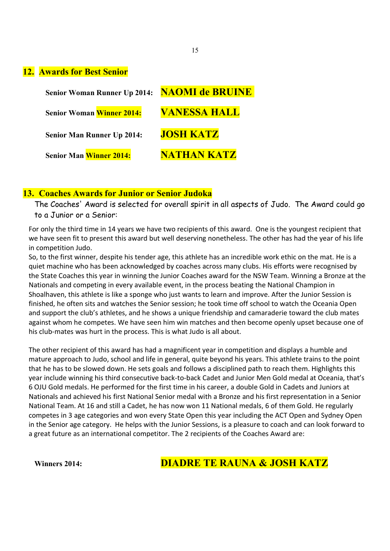#### **12. Awards for Best Senior**

| <b>Senior Woman Runner Up 2014:</b> | <b>NAOMI de BRUINE</b> |
|-------------------------------------|------------------------|
| <b>Senior Woman Winner 2014:</b>    | <b>VANESSA HALL</b>    |
| <b>Senior Man Runner Up 2014:</b>   | <b>JOSH KATZ</b>       |
| <b>Senior Man Winner 2014:</b>      | NATHAN KATZ            |

#### **13. Coaches Awards for Junior or Senior Judoka**

The Coaches' Award is selected for overall spirit in all aspects of Judo. The Award could go to a Junior or a Senior:

For only the third time in 14 years we have two recipients of this award. One is the youngest recipient that we have seen fit to present this award but well deserving nonetheless. The other has had the year of his life in competition Judo.

So, to the first winner, despite his tender age, this athlete has an incredible work ethic on the mat. He is a quiet machine who has been acknowledged by coaches across many clubs. His efforts were recognised by the State Coaches this year in winning the Junior Coaches award for the NSW Team. Winning a Bronze at the Nationals and competing in every available event, in the process beating the National Champion in Shoalhaven, this athlete is like a sponge who just wants to learn and improve. After the Junior Session is finished, he often sits and watches the Senior session; he took time off school to watch the Oceania Open and support the club's athletes, and he shows a unique friendship and camaraderie toward the club mates against whom he competes. We have seen him win matches and then become openly upset because one of his club-mates was hurt in the process. This is what Judo is all about.

The other recipient of this award has had a magnificent year in competition and displays a humble and mature approach to Judo, school and life in general, quite beyond his years. This athlete trains to the point that he has to be slowed down. He sets goals and follows a disciplined path to reach them. Highlights this year include winning his third consecutive back-to-back Cadet and Junior Men Gold medal at Oceania, that's 6 OJU Gold medals. He performed for the first time in his career, a double Gold in Cadets and Juniors at Nationals and achieved his first National Senior medal with a Bronze and his first representation in a Senior National Team. At 16 and still a Cadet, he has now won 11 National medals, 6 of them Gold. He regularly competes in 3 age categories and won every State Open this year including the ACT Open and Sydney Open in the Senior age category. He helps with the Junior Sessions, is a pleasure to coach and can look forward to a great future as an international competitor. The 2 recipients of the Coaches Award are:

# **Winners 2014: DIADRE TE RAUNA & JOSH KATZ**